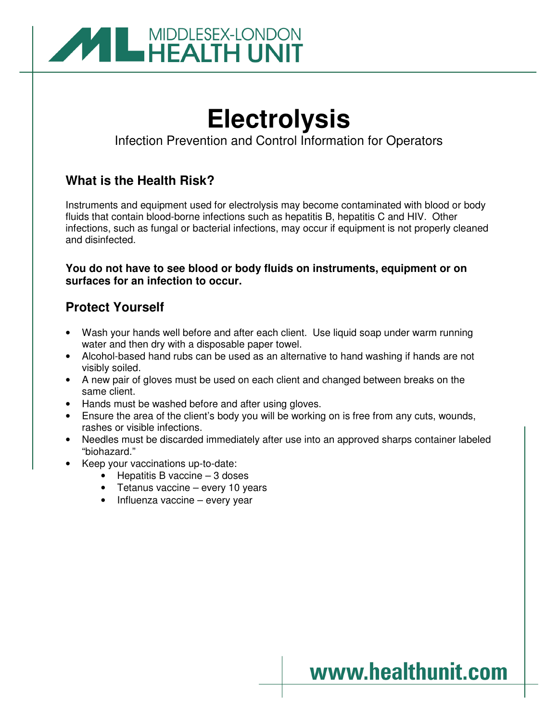

# **Electrolysis**

Infection Prevention and Control Information for Operators

## **What is the Health Risk?**

Instruments and equipment used for electrolysis may become contaminated with blood or body fluids that contain blood-borne infections such as hepatitis B, hepatitis C and HIV. Other infections, such as fungal or bacterial infections, may occur if equipment is not properly cleaned and disinfected.

### **You do not have to see blood or body fluids on instruments, equipment or on surfaces for an infection to occur.**

## **Protect Yourself**

- Wash your hands well before and after each client. Use liquid soap under warm running water and then dry with a disposable paper towel.
- Alcohol-based hand rubs can be used as an alternative to hand washing if hands are not visibly soiled.
- A new pair of gloves must be used on each client and changed between breaks on the same client.
- Hands must be washed before and after using gloves.
- Ensure the area of the client's body you will be working on is free from any cuts, wounds, rashes or visible infections.
- Needles must be discarded immediately after use into an approved sharps container labeled "biohazard."
- Keep your vaccinations up-to-date:
	- Hepatitis B vaccine 3 doses
	- Tetanus vaccine every 10 years
	- Influenza vaccine every year

## www.healthunit.com